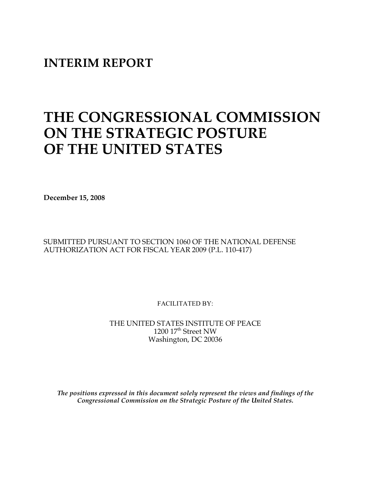# **THE CONGRESSIONAL COMMISSION ON THE STRATEGIC POSTURE OF THE UNITED STATES**

**December 15, 2008**

SUBMITTED PURSUANT TO SECTION 1060 OF THE NATIONAL DEFENSE AUTHORIZATION ACT FOR FISCAL YEAR 2009 (P.L. 110-417)

FACILITATED BY:

THE UNITED STATES INSTITUTE OF PEACE 1200  $17<sup>th</sup>$  Street NW Washington, DC 20036

*The positions expressed in this document solely represent the views and findings of the Congressional Commission on the Strategic Posture of the United States.*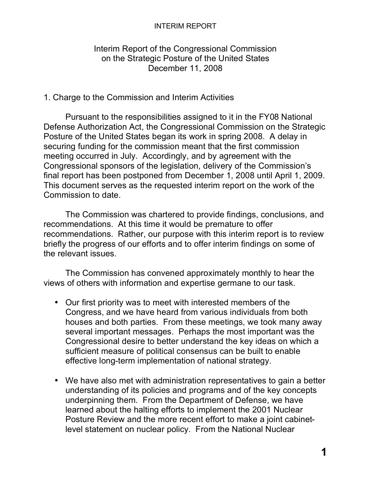## Interim Report of the Congressional Commission on the Strategic Posture of the United States December 11, 2008

## 1. Charge to the Commission and Interim Activities

Pursuant to the responsibilities assigned to it in the FY08 National Defense Authorization Act, the Congressional Commission on the Strategic Posture of the United States began its work in spring 2008. A delay in securing funding for the commission meant that the first commission meeting occurred in July. Accordingly, and by agreement with the Congressional sponsors of the legislation, delivery of the Commission's final report has been postponed from December 1, 2008 until April 1, 2009. This document serves as the requested interim report on the work of the Commission to date.

The Commission was chartered to provide findings, conclusions, and recommendations. At this time it would be premature to offer recommendations. Rather, our purpose with this interim report is to review briefly the progress of our efforts and to offer interim findings on some of the relevant issues.

The Commission has convened approximately monthly to hear the views of others with information and expertise germane to our task.

- Our first priority was to meet with interested members of the Congress, and we have heard from various individuals from both houses and both parties. From these meetings, we took many away several important messages. Perhaps the most important was the Congressional desire to better understand the key ideas on which a sufficient measure of political consensus can be built to enable effective long-term implementation of national strategy.
- We have also met with administration representatives to gain a better understanding of its policies and programs and of the key concepts underpinning them. From the Department of Defense, we have learned about the halting efforts to implement the 2001 Nuclear Posture Review and the more recent effort to make a joint cabinetlevel statement on nuclear policy. From the National Nuclear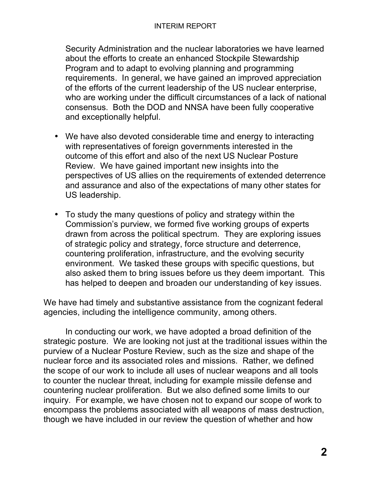Security Administration and the nuclear laboratories we have learned about the efforts to create an enhanced Stockpile Stewardship Program and to adapt to evolving planning and programming requirements. In general, we have gained an improved appreciation of the efforts of the current leadership of the US nuclear enterprise, who are working under the difficult circumstances of a lack of national consensus. Both the DOD and NNSA have been fully cooperative and exceptionally helpful.

- We have also devoted considerable time and energy to interacting with representatives of foreign governments interested in the outcome of this effort and also of the next US Nuclear Posture Review. We have gained important new insights into the perspectives of US allies on the requirements of extended deterrence and assurance and also of the expectations of many other states for US leadership.
- To study the many questions of policy and strategy within the Commission's purview, we formed five working groups of experts drawn from across the political spectrum. They are exploring issues of strategic policy and strategy, force structure and deterrence, countering proliferation, infrastructure, and the evolving security environment. We tasked these groups with specific questions, but also asked them to bring issues before us they deem important. This has helped to deepen and broaden our understanding of key issues.

We have had timely and substantive assistance from the cognizant federal agencies, including the intelligence community, among others.

In conducting our work, we have adopted a broad definition of the strategic posture. We are looking not just at the traditional issues within the purview of a Nuclear Posture Review, such as the size and shape of the nuclear force and its associated roles and missions. Rather, we defined the scope of our work to include all uses of nuclear weapons and all tools to counter the nuclear threat, including for example missile defense and countering nuclear proliferation. But we also defined some limits to our inquiry. For example, we have chosen not to expand our scope of work to encompass the problems associated with all weapons of mass destruction, though we have included in our review the question of whether and how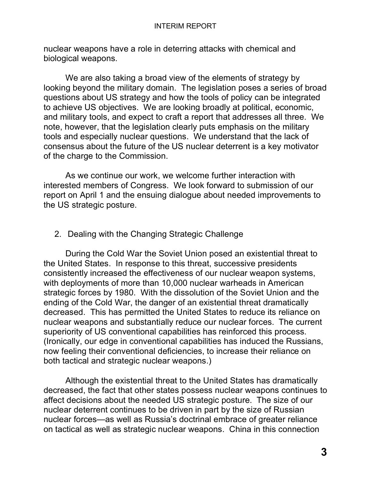nuclear weapons have a role in deterring attacks with chemical and biological weapons.

We are also taking a broad view of the elements of strategy by looking beyond the military domain. The legislation poses a series of broad questions about US strategy and how the tools of policy can be integrated to achieve US objectives. We are looking broadly at political, economic, and military tools, and expect to craft a report that addresses all three. We note, however, that the legislation clearly puts emphasis on the military tools and especially nuclear questions. We understand that the lack of consensus about the future of the US nuclear deterrent is a key motivator of the charge to the Commission.

As we continue our work, we welcome further interaction with interested members of Congress. We look forward to submission of our report on April 1 and the ensuing dialogue about needed improvements to the US strategic posture.

## 2. Dealing with the Changing Strategic Challenge

During the Cold War the Soviet Union posed an existential threat to the United States. In response to this threat, successive presidents consistently increased the effectiveness of our nuclear weapon systems, with deployments of more than 10,000 nuclear warheads in American strategic forces by 1980. With the dissolution of the Soviet Union and the ending of the Cold War, the danger of an existential threat dramatically decreased. This has permitted the United States to reduce its reliance on nuclear weapons and substantially reduce our nuclear forces. The current superiority of US conventional capabilities has reinforced this process. (Ironically, our edge in conventional capabilities has induced the Russians, now feeling their conventional deficiencies, to increase their reliance on both tactical and strategic nuclear weapons.)

Although the existential threat to the United States has dramatically decreased, the fact that other states possess nuclear weapons continues to affect decisions about the needed US strategic posture. The size of our nuclear deterrent continues to be driven in part by the size of Russian nuclear forces—as well as Russia's doctrinal embrace of greater reliance on tactical as well as strategic nuclear weapons. China in this connection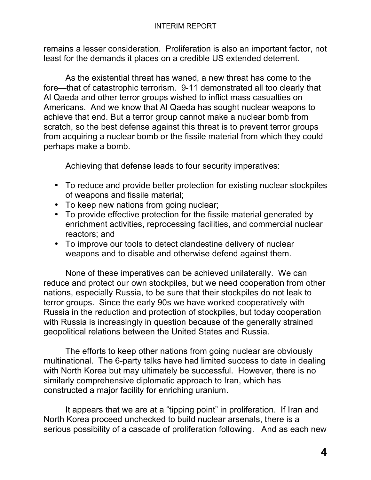remains a lesser consideration. Proliferation is also an important factor, not least for the demands it places on a credible US extended deterrent.

As the existential threat has waned, a new threat has come to the fore—that of catastrophic terrorism. 9-11 demonstrated all too clearly that Al Qaeda and other terror groups wished to inflict mass casualties on Americans. And we know that Al Qaeda has sought nuclear weapons to achieve that end. But a terror group cannot make a nuclear bomb from scratch, so the best defense against this threat is to prevent terror groups from acquiring a nuclear bomb or the fissile material from which they could perhaps make a bomb.

Achieving that defense leads to four security imperatives:

- To reduce and provide better protection for existing nuclear stockpiles of weapons and fissile material;
- To keep new nations from going nuclear;
- To provide effective protection for the fissile material generated by enrichment activities, reprocessing facilities, and commercial nuclear reactors; and
- To improve our tools to detect clandestine delivery of nuclear weapons and to disable and otherwise defend against them.

None of these imperatives can be achieved unilaterally. We can reduce and protect our own stockpiles, but we need cooperation from other nations, especially Russia, to be sure that their stockpiles do not leak to terror groups. Since the early 90s we have worked cooperatively with Russia in the reduction and protection of stockpiles, but today cooperation with Russia is increasingly in question because of the generally strained geopolitical relations between the United States and Russia.

The efforts to keep other nations from going nuclear are obviously multinational. The 6-party talks have had limited success to date in dealing with North Korea but may ultimately be successful. However, there is no similarly comprehensive diplomatic approach to Iran, which has constructed a major facility for enriching uranium.

It appears that we are at a "tipping point" in proliferation. If Iran and North Korea proceed unchecked to build nuclear arsenals, there is a serious possibility of a cascade of proliferation following. And as each new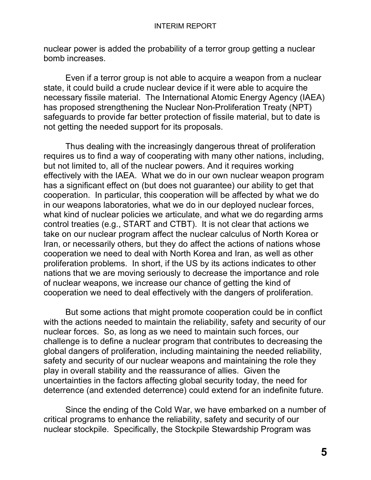nuclear power is added the probability of a terror group getting a nuclear bomb increases.

Even if a terror group is not able to acquire a weapon from a nuclear state, it could build a crude nuclear device if it were able to acquire the necessary fissile material. The International Atomic Energy Agency (IAEA) has proposed strengthening the Nuclear Non-Proliferation Treaty (NPT) safeguards to provide far better protection of fissile material, but to date is not getting the needed support for its proposals.

Thus dealing with the increasingly dangerous threat of proliferation requires us to find a way of cooperating with many other nations, including, but not limited to, all of the nuclear powers. And it requires working effectively with the IAEA. What we do in our own nuclear weapon program has a significant effect on (but does not guarantee) our ability to get that cooperation. In particular, this cooperation will be affected by what we do in our weapons laboratories, what we do in our deployed nuclear forces, what kind of nuclear policies we articulate, and what we do regarding arms control treaties (e.g., START and CTBT). It is not clear that actions we take on our nuclear program affect the nuclear calculus of North Korea or Iran, or necessarily others, but they do affect the actions of nations whose cooperation we need to deal with North Korea and Iran, as well as other proliferation problems. In short, if the US by its actions indicates to other nations that we are moving seriously to decrease the importance and role of nuclear weapons, we increase our chance of getting the kind of cooperation we need to deal effectively with the dangers of proliferation.

But some actions that might promote cooperation could be in conflict with the actions needed to maintain the reliability, safety and security of our nuclear forces. So, as long as we need to maintain such forces, our challenge is to define a nuclear program that contributes to decreasing the global dangers of proliferation, including maintaining the needed reliability, safety and security of our nuclear weapons and maintaining the role they play in overall stability and the reassurance of allies. Given the uncertainties in the factors affecting global security today, the need for deterrence (and extended deterrence) could extend for an indefinite future.

Since the ending of the Cold War, we have embarked on a number of critical programs to enhance the reliability, safety and security of our nuclear stockpile. Specifically, the Stockpile Stewardship Program was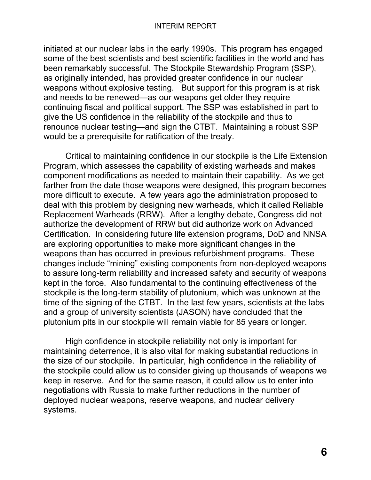initiated at our nuclear labs in the early 1990s. This program has engaged some of the best scientists and best scientific facilities in the world and has been remarkably successful. The Stockpile Stewardship Program (SSP), as originally intended, has provided greater confidence in our nuclear weapons without explosive testing. But support for this program is at risk and needs to be renewed—as our weapons get older they require continuing fiscal and political support. The SSP was established in part to give the US confidence in the reliability of the stockpile and thus to renounce nuclear testing—and sign the CTBT. Maintaining a robust SSP would be a prerequisite for ratification of the treaty.

Critical to maintaining confidence in our stockpile is the Life Extension Program, which assesses the capability of existing warheads and makes component modifications as needed to maintain their capability. As we get farther from the date those weapons were designed, this program becomes more difficult to execute. A few years ago the administration proposed to deal with this problem by designing new warheads, which it called Reliable Replacement Warheads (RRW). After a lengthy debate, Congress did not authorize the development of RRW but did authorize work on Advanced Certification. In considering future life extension programs, DoD and NNSA are exploring opportunities to make more significant changes in the weapons than has occurred in previous refurbishment programs. These changes include "mining" existing components from non-deployed weapons to assure long-term reliability and increased safety and security of weapons kept in the force. Also fundamental to the continuing effectiveness of the stockpile is the long-term stability of plutonium, which was unknown at the time of the signing of the CTBT. In the last few years, scientists at the labs and a group of university scientists (JASON) have concluded that the plutonium pits in our stockpile will remain viable for 85 years or longer.

High confidence in stockpile reliability not only is important for maintaining deterrence, it is also vital for making substantial reductions in the size of our stockpile. In particular, high confidence in the reliability of the stockpile could allow us to consider giving up thousands of weapons we keep in reserve. And for the same reason, it could allow us to enter into negotiations with Russia to make further reductions in the number of deployed nuclear weapons, reserve weapons, and nuclear delivery systems.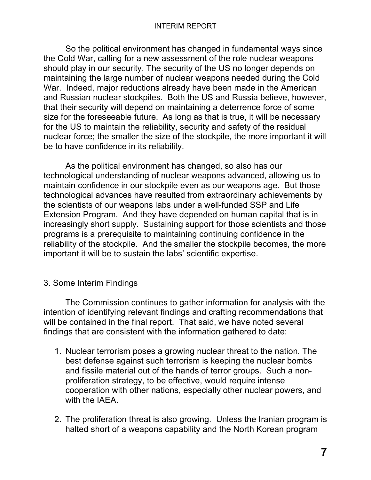So the political environment has changed in fundamental ways since the Cold War, calling for a new assessment of the role nuclear weapons should play in our security. The security of the US no longer depends on maintaining the large number of nuclear weapons needed during the Cold War. Indeed, major reductions already have been made in the American and Russian nuclear stockpiles. Both the US and Russia believe, however, that their security will depend on maintaining a deterrence force of some size for the foreseeable future. As long as that is true, it will be necessary for the US to maintain the reliability, security and safety of the residual nuclear force; the smaller the size of the stockpile, the more important it will be to have confidence in its reliability.

As the political environment has changed, so also has our technological understanding of nuclear weapons advanced, allowing us to maintain confidence in our stockpile even as our weapons age. But those technological advances have resulted from extraordinary achievements by the scientists of our weapons labs under a well-funded SSP and Life Extension Program. And they have depended on human capital that is in increasingly short supply. Sustaining support for those scientists and those programs is a prerequisite to maintaining continuing confidence in the reliability of the stockpile. And the smaller the stockpile becomes, the more important it will be to sustain the labs' scientific expertise.

## 3. Some Interim Findings

The Commission continues to gather information for analysis with the intention of identifying relevant findings and crafting recommendations that will be contained in the final report. That said, we have noted several findings that are consistent with the information gathered to date:

- 1. Nuclear terrorism poses a growing nuclear threat to the nation. The best defense against such terrorism is keeping the nuclear bombs and fissile material out of the hands of terror groups. Such a nonproliferation strategy, to be effective, would require intense cooperation with other nations, especially other nuclear powers, and with the IAEA.
- 2. The proliferation threat is also growing. Unless the Iranian program is halted short of a weapons capability and the North Korean program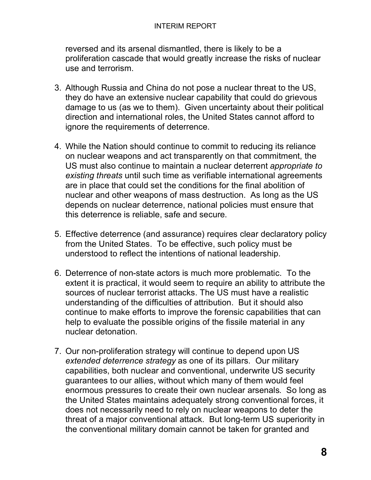reversed and its arsenal dismantled, there is likely to be a proliferation cascade that would greatly increase the risks of nuclear use and terrorism.

- 3. Although Russia and China do not pose a nuclear threat to the US, they do have an extensive nuclear capability that could do grievous damage to us (as we to them).Given uncertainty about their political direction and international roles, the United States cannot afford to ignore the requirements of deterrence.
- 4. While the Nation should continue to commit to reducing its reliance on nuclear weapons and act transparently on that commitment, the US must also continue to maintain a nuclear deterrent *appropriate to existing threats* until such time as verifiable international agreements are in place that could set the conditions for the final abolition of nuclear and other weapons of mass destruction. As long as the US depends on nuclear deterrence, national policies must ensure that this deterrence is reliable, safe and secure.
- 5. Effective deterrence (and assurance) requires clear declaratory policy from the United States. To be effective, such policy must be understood to reflect the intentions of national leadership.
- 6. Deterrence of non-state actors is much more problematic. To the extent it is practical, it would seem to require an ability to attribute the sources of nuclear terrorist attacks. The US must have a realistic understanding of the difficulties of attribution. But it should also continue to make efforts to improve the forensic capabilities that can help to evaluate the possible origins of the fissile material in any nuclear detonation.
- 7. Our non-proliferation strategy will continue to depend upon US *extended deterrence strategy* as one of its pillars. Our military capabilities, both nuclear and conventional, underwrite US security guarantees to our allies, without which many of them would feel enormous pressures to create their own nuclear arsenals. So long as the United States maintains adequately strong conventional forces, it does not necessarily need to rely on nuclear weapons to deter the threat of a major conventional attack. But long-term US superiority in the conventional military domain cannot be taken for granted and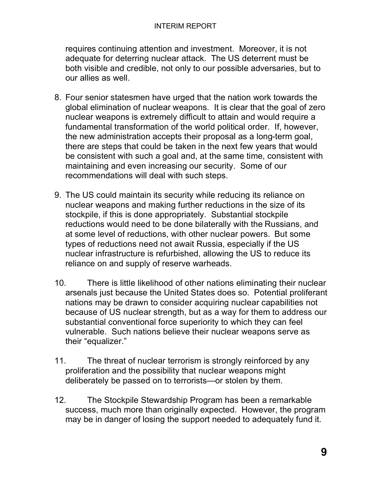requires continuing attention and investment. Moreover, it is not adequate for deterring nuclear attack. The US deterrent must be both visible and credible, not only to our possible adversaries, but to our allies as well.

- 8. Four senior statesmen have urged that the nation work towards the global elimination of nuclear weapons. It is clear that the goal of zero nuclear weapons is extremely difficult to attain and would require a fundamental transformation of the world political order. If, however, the new administration accepts their proposal as a long-term goal, there are steps that could be taken in the next few years that would be consistent with such a goal and, at the same time, consistent with maintaining and even increasing our security. Some of our recommendations will deal with such steps.
- 9. The US could maintain its security while reducing its reliance on nuclear weapons and making further reductions in the size of its stockpile, if this is done appropriately. Substantial stockpile reductions would need to be done bilaterally with the Russians, and at some level of reductions, with other nuclear powers. But some types of reductions need not await Russia, especially if the US nuclear infrastructure is refurbished, allowing the US to reduce its reliance on and supply of reserve warheads.
- 10. There is little likelihood of other nations eliminating their nuclear arsenals just because the United States does so. Potential proliferant nations may be drawn to consider acquiring nuclear capabilities not because of US nuclear strength, but as a way for them to address our substantial conventional force superiority to which they can feel vulnerable. Such nations believe their nuclear weapons serve as their "equalizer."
- 11. The threat of nuclear terrorism is strongly reinforced by any proliferation and the possibility that nuclear weapons might deliberately be passed on to terrorists—or stolen by them.
- 12. The Stockpile Stewardship Program has been a remarkable success, much more than originally expected. However, the program may be in danger of losing the support needed to adequately fund it.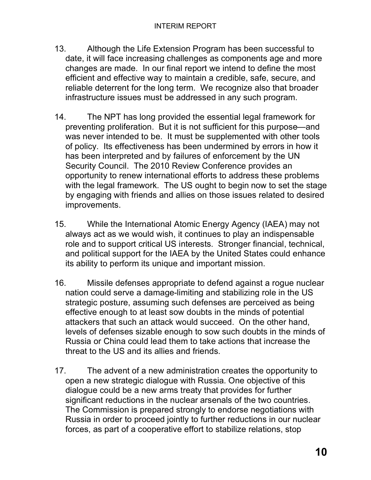- 13. Although the Life Extension Program has been successful to date, it will face increasing challenges as components age and more changes are made. In our final report we intend to define the most efficient and effective way to maintain a credible, safe, secure, and reliable deterrent for the long term. We recognize also that broader infrastructure issues must be addressed in any such program.
- 14. The NPT has long provided the essential legal framework for preventing proliferation. But it is not sufficient for this purpose—and was never intended to be. It must be supplemented with other tools of policy. Its effectiveness has been undermined by errors in how it has been interpreted and by failures of enforcement by the UN Security Council. The 2010 Review Conference provides an opportunity to renew international efforts to address these problems with the legal framework. The US ought to begin now to set the stage by engaging with friends and allies on those issues related to desired improvements.
- 15. While the International Atomic Energy Agency (IAEA) may not always act as we would wish, it continues to play an indispensable role and to support critical US interests. Stronger financial, technical, and political support for the IAEA by the United States could enhance its ability to perform its unique and important mission.
- 16. Missile defenses appropriate to defend against a rogue nuclear nation could serve a damage-limiting and stabilizing role in the US strategic posture, assuming such defenses are perceived as being effective enough to at least sow doubts in the minds of potential attackers that such an attack would succeed. On the other hand, levels of defenses sizable enough to sow such doubts in the minds of Russia or China could lead them to take actions that increase the threat to the US and its allies and friends.
- 17. The advent of a new administration creates the opportunity to open a new strategic dialogue with Russia. One objective of this dialogue could be a new arms treaty that provides for further significant reductions in the nuclear arsenals of the two countries. The Commission is prepared strongly to endorse negotiations with Russia in order to proceed jointly to further reductions in our nuclear forces, as part of a cooperative effort to stabilize relations, stop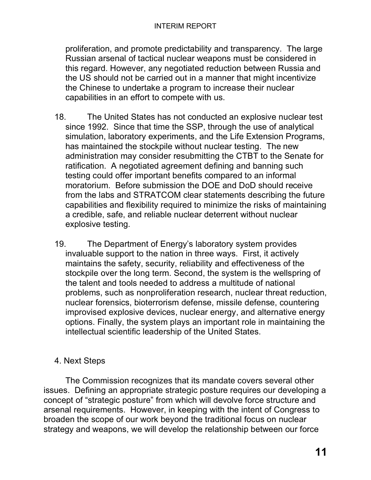proliferation, and promote predictability and transparency. The large Russian arsenal of tactical nuclear weapons must be considered in this regard. However, any negotiated reduction between Russia and the US should not be carried out in a manner that might incentivize the Chinese to undertake a program to increase their nuclear capabilities in an effort to compete with us.

- 18. The United States has not conducted an explosive nuclear test since 1992. Since that time the SSP, through the use of analytical simulation, laboratory experiments, and the Life Extension Programs, has maintained the stockpile without nuclear testing. The new administration may consider resubmitting the CTBT to the Senate for ratification. A negotiated agreement defining and banning such testing could offer important benefits compared to an informal moratorium. Before submission the DOE and DoD should receive from the labs and STRATCOM clear statements describing the future capabilities and flexibility required to minimize the risks of maintaining a credible, safe, and reliable nuclear deterrent without nuclear explosive testing.
- 19. The Department of Energy's laboratory system provides invaluable support to the nation in three ways. First, it actively maintains the safety, security, reliability and effectiveness of the stockpile over the long term. Second, the system is the wellspring of the talent and tools needed to address a multitude of national problems, such as nonproliferation research, nuclear threat reduction, nuclear forensics, bioterrorism defense, missile defense, countering improvised explosive devices, nuclear energy, and alternative energy options. Finally, the system plays an important role in maintaining the intellectual scientific leadership of the United States.

## 4. Next Steps

The Commission recognizes that its mandate covers several other issues. Defining an appropriate strategic posture requires our developing a concept of "strategic posture" from which will devolve force structure and arsenal requirements. However, in keeping with the intent of Congress to broaden the scope of our work beyond the traditional focus on nuclear strategy and weapons, we will develop the relationship between our force